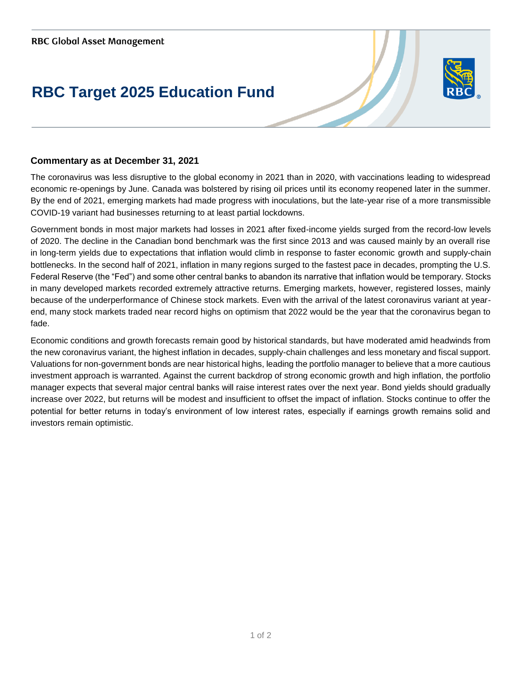## **RBC Target 2025 Education Fund**



## **Commentary as at December 31, 2021**

The coronavirus was less disruptive to the global economy in 2021 than in 2020, with vaccinations leading to widespread economic re-openings by June. Canada was bolstered by rising oil prices until its economy reopened later in the summer. By the end of 2021, emerging markets had made progress with inoculations, but the late-year rise of a more transmissible COVID-19 variant had businesses returning to at least partial lockdowns.

Government bonds in most major markets had losses in 2021 after fixed-income yields surged from the record-low levels of 2020. The decline in the Canadian bond benchmark was the first since 2013 and was caused mainly by an overall rise in long-term yields due to expectations that inflation would climb in response to faster economic growth and supply-chain bottlenecks. In the second half of 2021, inflation in many regions surged to the fastest pace in decades, prompting the U.S. Federal Reserve (the "Fed") and some other central banks to abandon its narrative that inflation would be temporary. Stocks in many developed markets recorded extremely attractive returns. Emerging markets, however, registered losses, mainly because of the underperformance of Chinese stock markets. Even with the arrival of the latest coronavirus variant at yearend, many stock markets traded near record highs on optimism that 2022 would be the year that the coronavirus began to fade.

Economic conditions and growth forecasts remain good by historical standards, but have moderated amid headwinds from the new coronavirus variant, the highest inflation in decades, supply-chain challenges and less monetary and fiscal support. Valuations for non-government bonds are near historical highs, leading the portfolio manager to believe that a more cautious investment approach is warranted. Against the current backdrop of strong economic growth and high inflation, the portfolio manager expects that several major central banks will raise interest rates over the next year. Bond yields should gradually increase over 2022, but returns will be modest and insufficient to offset the impact of inflation. Stocks continue to offer the potential for better returns in today's environment of low interest rates, especially if earnings growth remains solid and investors remain optimistic.